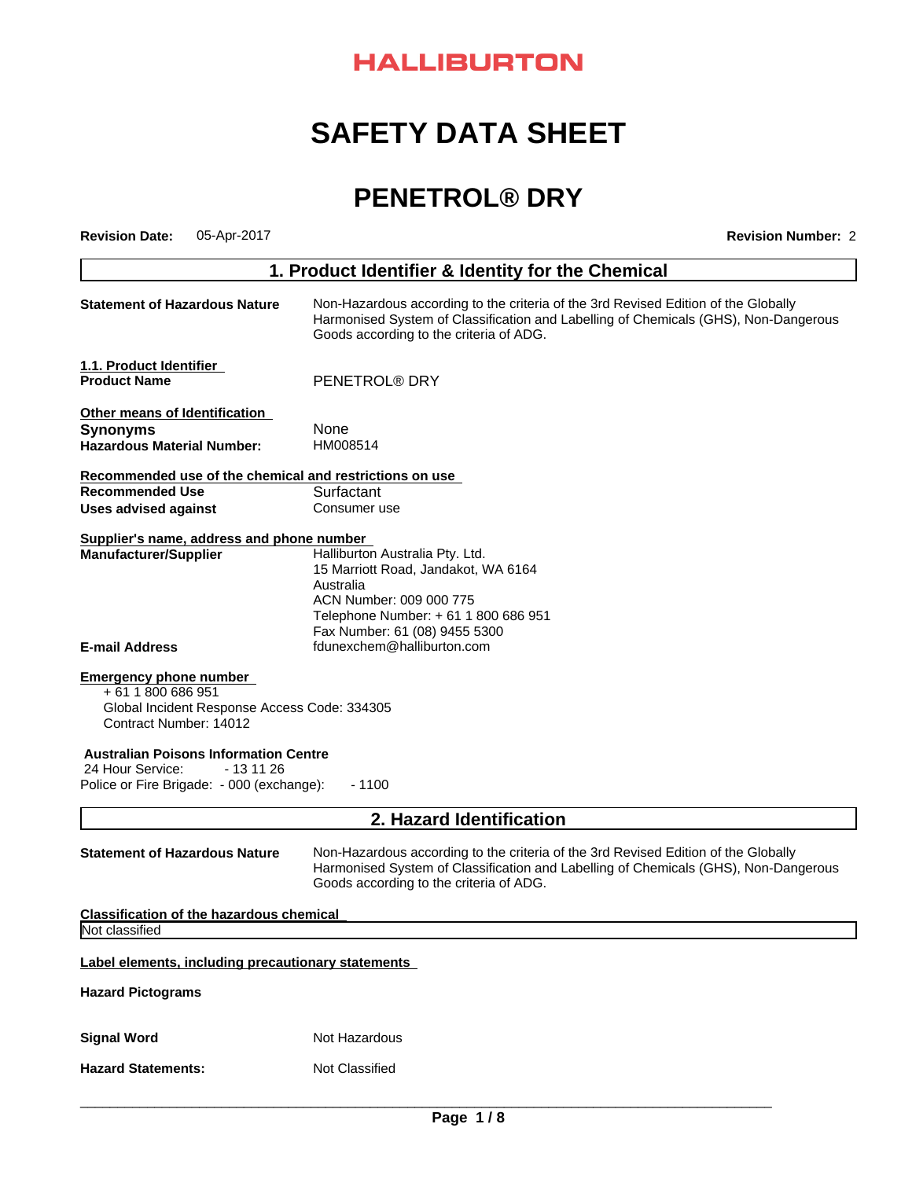# **HALLIBURTON**

# **SAFETY DATA SHEET**

# **PENETROL® DRY**

| <b>Revision Date:</b>                                                       | 05-Apr-2017                                                                                                                                                                                                                                                  | <b>Revision Number: 2</b>                                                                                                                                                                                            |  |  |
|-----------------------------------------------------------------------------|--------------------------------------------------------------------------------------------------------------------------------------------------------------------------------------------------------------------------------------------------------------|----------------------------------------------------------------------------------------------------------------------------------------------------------------------------------------------------------------------|--|--|
|                                                                             |                                                                                                                                                                                                                                                              | 1. Product Identifier & Identity for the Chemical                                                                                                                                                                    |  |  |
|                                                                             | <b>Statement of Hazardous Nature</b><br>Non-Hazardous according to the criteria of the 3rd Revised Edition of the Globally<br>Harmonised System of Classification and Labelling of Chemicals (GHS), Non-Dangerous<br>Goods according to the criteria of ADG. |                                                                                                                                                                                                                      |  |  |
| 1.1. Product Identifier<br><b>Product Name</b>                              |                                                                                                                                                                                                                                                              | PENETROL® DRY                                                                                                                                                                                                        |  |  |
|                                                                             |                                                                                                                                                                                                                                                              |                                                                                                                                                                                                                      |  |  |
| Other means of Identification                                               |                                                                                                                                                                                                                                                              |                                                                                                                                                                                                                      |  |  |
| <b>Synonyms</b>                                                             |                                                                                                                                                                                                                                                              | None                                                                                                                                                                                                                 |  |  |
| <b>Hazardous Material Number:</b>                                           |                                                                                                                                                                                                                                                              | HM008514                                                                                                                                                                                                             |  |  |
|                                                                             |                                                                                                                                                                                                                                                              | Recommended use of the chemical and restrictions on use                                                                                                                                                              |  |  |
| <b>Recommended Use</b>                                                      |                                                                                                                                                                                                                                                              | Surfactant                                                                                                                                                                                                           |  |  |
| <b>Uses advised against</b>                                                 |                                                                                                                                                                                                                                                              | Consumer use                                                                                                                                                                                                         |  |  |
| Supplier's name, address and phone number                                   |                                                                                                                                                                                                                                                              |                                                                                                                                                                                                                      |  |  |
| <b>Manufacturer/Supplier</b>                                                |                                                                                                                                                                                                                                                              | Halliburton Australia Pty. Ltd.                                                                                                                                                                                      |  |  |
|                                                                             |                                                                                                                                                                                                                                                              | 15 Marriott Road, Jandakot, WA 6164                                                                                                                                                                                  |  |  |
|                                                                             |                                                                                                                                                                                                                                                              | Australia                                                                                                                                                                                                            |  |  |
|                                                                             |                                                                                                                                                                                                                                                              | ACN Number: 009 000 775<br>Telephone Number: + 61 1 800 686 951                                                                                                                                                      |  |  |
|                                                                             |                                                                                                                                                                                                                                                              | Fax Number: 61 (08) 9455 5300                                                                                                                                                                                        |  |  |
| <b>E-mail Address</b>                                                       |                                                                                                                                                                                                                                                              | fdunexchem@halliburton.com                                                                                                                                                                                           |  |  |
| <b>Emergency phone number</b><br>+61 1800 686 951<br>Contract Number: 14012 | Global Incident Response Access Code: 334305                                                                                                                                                                                                                 |                                                                                                                                                                                                                      |  |  |
| <b>Australian Poisons Information Centre</b>                                |                                                                                                                                                                                                                                                              |                                                                                                                                                                                                                      |  |  |
| 24 Hour Service:                                                            | - 13 11 26                                                                                                                                                                                                                                                   |                                                                                                                                                                                                                      |  |  |
| Police or Fire Brigade: - 000 (exchange):                                   |                                                                                                                                                                                                                                                              | $-1100$                                                                                                                                                                                                              |  |  |
|                                                                             |                                                                                                                                                                                                                                                              | 2. Hazard Identification                                                                                                                                                                                             |  |  |
| <b>Statement of Hazardous Nature</b>                                        |                                                                                                                                                                                                                                                              | Non-Hazardous according to the criteria of the 3rd Revised Edition of the Globally<br>Harmonised System of Classification and Labelling of Chemicals (GHS), Non-Dangerous<br>Goods according to the criteria of ADG. |  |  |
| <b>Classification of the hazardous chemical</b>                             |                                                                                                                                                                                                                                                              |                                                                                                                                                                                                                      |  |  |
| Not classified                                                              |                                                                                                                                                                                                                                                              |                                                                                                                                                                                                                      |  |  |
|                                                                             |                                                                                                                                                                                                                                                              | Label elements, including precautionary statements                                                                                                                                                                   |  |  |
| <b>Hazard Pictograms</b>                                                    |                                                                                                                                                                                                                                                              |                                                                                                                                                                                                                      |  |  |
| <b>Signal Word</b>                                                          |                                                                                                                                                                                                                                                              | Not Hazardous                                                                                                                                                                                                        |  |  |
| <b>Hazard Statements:</b>                                                   |                                                                                                                                                                                                                                                              | Not Classified                                                                                                                                                                                                       |  |  |
|                                                                             |                                                                                                                                                                                                                                                              |                                                                                                                                                                                                                      |  |  |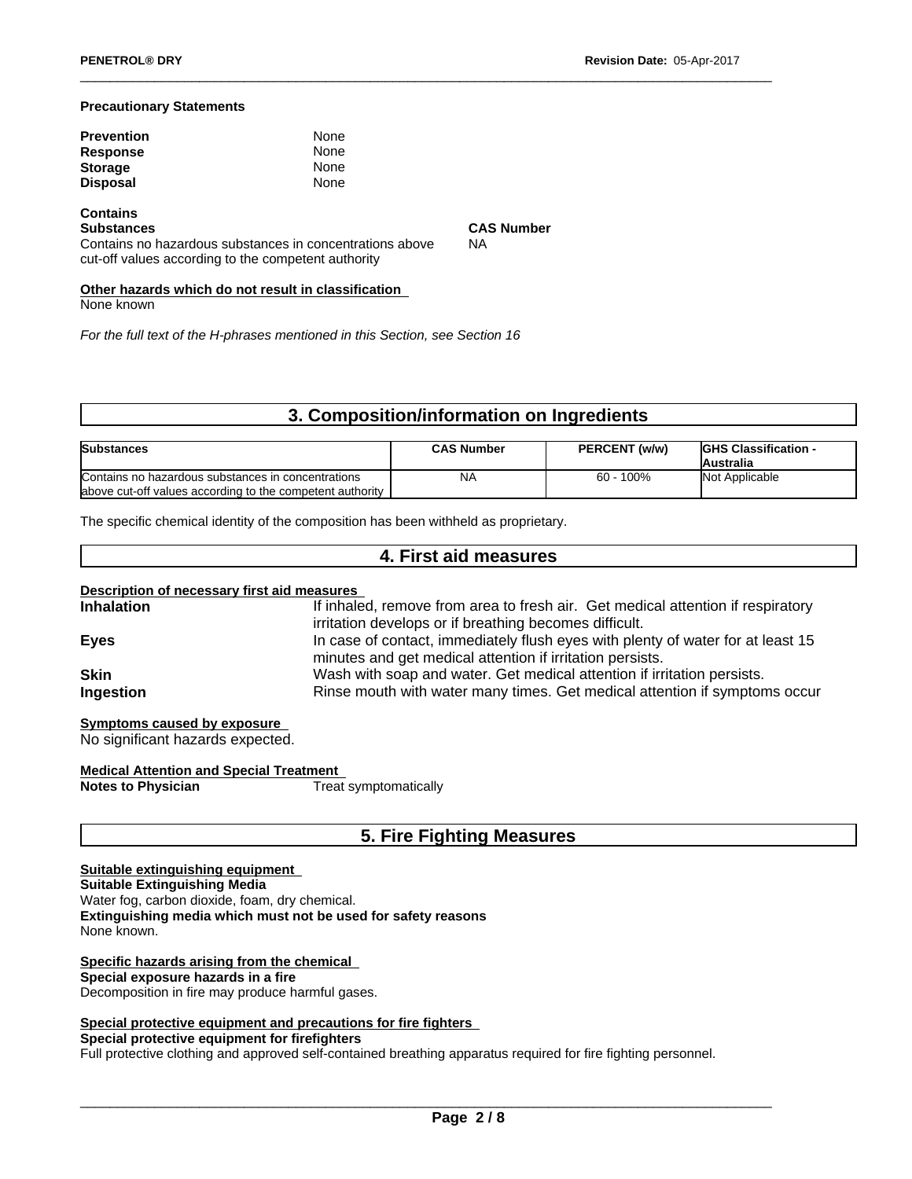#### **Precautionary Statements**

| <b>Prevention</b> | None |  |
|-------------------|------|--|
| <b>Response</b>   | None |  |
| <b>Storage</b>    | None |  |
| <b>Disposal</b>   | None |  |

# **Contains**

Contains no hazardous substances in concentrations above

**CAS Number** NA

cut-off values according to the competent authority

**Other hazards which do not result in classification** None known

*For the full text of the H-phrases mentioned in this Section, see Section 16*

# **3. Composition/information on Ingredients**

| <b>Substances</b>                                          | <b>CAS Number</b> | PERCENT (w/w) | <b>IGHS Classification -</b><br>Australia |
|------------------------------------------------------------|-------------------|---------------|-------------------------------------------|
| Contains no hazardous substances in concentrations         | NA                | $60 - 100\%$  | Not Applicable                            |
| labove cut-off values according to the competent authority |                   |               |                                           |

The specific chemical identity of the composition has been withheld as proprietary.

### **4. First aid measures**

| <b>Inhalation</b> | If inhaled, remove from area to fresh air. Get medical attention if respiratory                                                              |
|-------------------|----------------------------------------------------------------------------------------------------------------------------------------------|
|                   | irritation develops or if breathing becomes difficult.                                                                                       |
| <b>Eyes</b>       | In case of contact, immediately flush eyes with plenty of water for at least 15<br>minutes and get medical attention if irritation persists. |
| <b>Skin</b>       | Wash with soap and water. Get medical attention if irritation persists.                                                                      |
| Ingestion         | Rinse mouth with water many times. Get medical attention if symptoms occur                                                                   |

**Symptoms caused by exposure** No significant hazards expected.

**Medical Attention and Special Treatment Notes to Physician** 

# **5. Fire Fighting Measures**

#### **Suitable extinguishing equipment Suitable Extinguishing Media** Water fog, carbon dioxide, foam, dry chemical. **Extinguishing media which must not be used for safety reasons** None known.

#### **Specific hazards arising from the chemical**

**Special exposure hazards in a fire**

Decomposition in fire may produce harmful gases.

#### **Special protective equipment and precautions for fire fighters**

**Special protective equipment for firefighters**

Full protective clothing and approved self-contained breathing apparatus required for fire fighting personnel.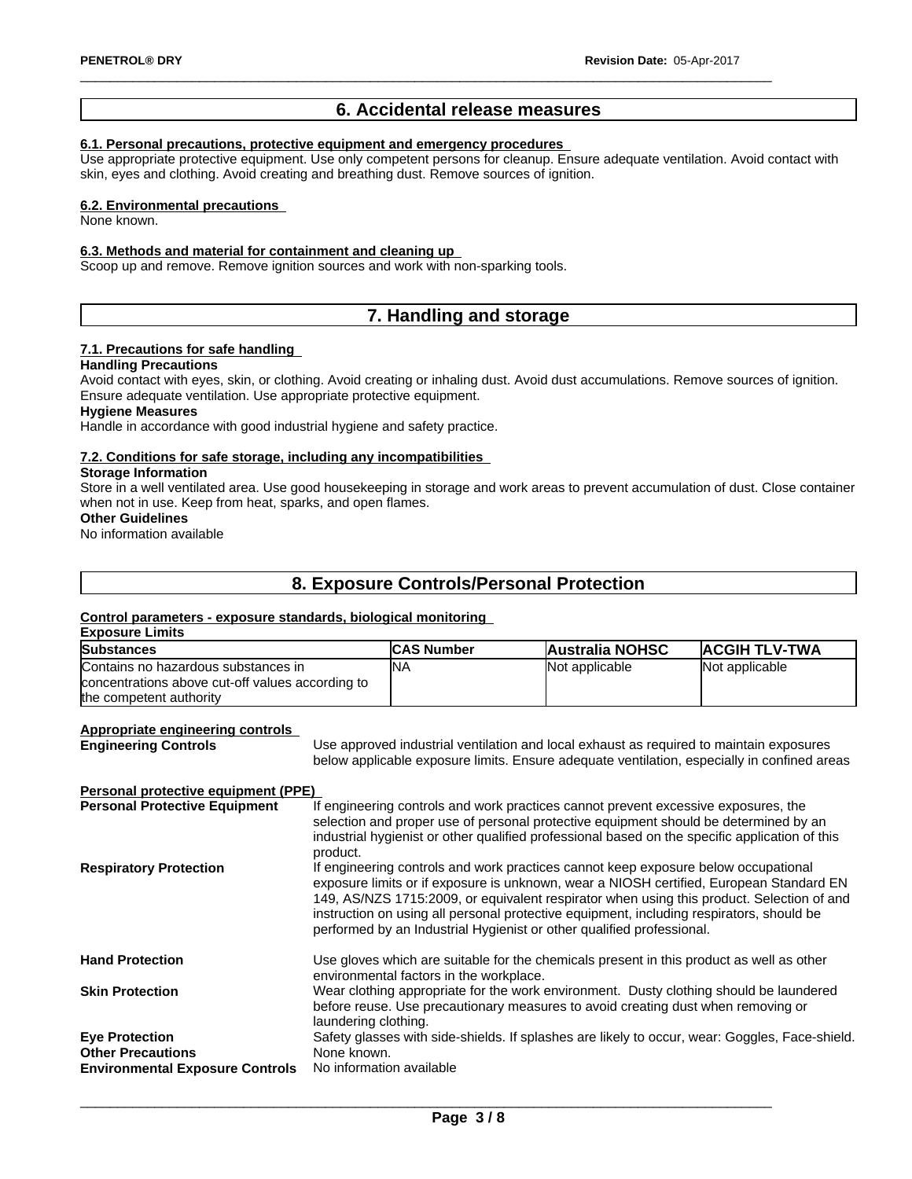### **6. Accidental release measures**

#### **6.1. Personal precautions, protective equipment and emergency procedures**

Use appropriate protective equipment.Use only competent persons for cleanup. Ensure adequate ventilation. Avoid contact with skin, eyes and clothing. Avoid creating and breathing dust. Remove sources of ignition.

#### **6.2. Environmental precautions**

None known.

#### **6.3. Methods and material for containment and cleaning up**

Scoop up and remove. Remove ignition sources and work with non-sparking tools.

# **7. Handling and storage**

### **7.1. Precautions for safe handling**

#### **Handling Precautions**

Avoid contact with eyes, skin, or clothing. Avoid creating or inhaling dust. Avoid dust accumulations. Remove sources of ignition. Ensure adequate ventilation. Use appropriate protective equipment.

#### **Hygiene Measures**

Handle in accordance with good industrial hygiene and safety practice.

#### **7.2. Conditions for safe storage, including any incompatibilities**

#### **Storage Information**

Store in a well ventilated area. Use good housekeeping in storage and work areas to prevent accumulation of dust. Close container when not in use. Keep from heat, sparks, and open flames.

#### **Other Guidelines**

No information available

# **8. Exposure Controls/Personal Protection**

#### **Control parameters - exposure standards,biological monitoring**

| <b>Exposure Limits</b><br><b>Substances</b>                                                                        |                                                                                                                                                                                                                                                                                                                                                                                                                                                 | <b>CAS Number</b> | <b>Australia NOHSC</b>                                                                                                                                                                                                                                                       | <b>ACGIH TLV-TWA</b> |
|--------------------------------------------------------------------------------------------------------------------|-------------------------------------------------------------------------------------------------------------------------------------------------------------------------------------------------------------------------------------------------------------------------------------------------------------------------------------------------------------------------------------------------------------------------------------------------|-------------------|------------------------------------------------------------------------------------------------------------------------------------------------------------------------------------------------------------------------------------------------------------------------------|----------------------|
| Contains no hazardous substances in<br>concentrations above cut-off values according to<br>the competent authority |                                                                                                                                                                                                                                                                                                                                                                                                                                                 | <b>NA</b>         | Not applicable                                                                                                                                                                                                                                                               | Not applicable       |
| <b>Appropriate engineering controls</b><br><b>Engineering Controls</b>                                             |                                                                                                                                                                                                                                                                                                                                                                                                                                                 |                   | Use approved industrial ventilation and local exhaust as required to maintain exposures<br>below applicable exposure limits. Ensure adequate ventilation, especially in confined areas                                                                                       |                      |
| Personal protective equipment (PPE)                                                                                |                                                                                                                                                                                                                                                                                                                                                                                                                                                 |                   |                                                                                                                                                                                                                                                                              |                      |
| <b>Personal Protective Equipment</b>                                                                               | product.                                                                                                                                                                                                                                                                                                                                                                                                                                        |                   | If engineering controls and work practices cannot prevent excessive exposures, the<br>selection and proper use of personal protective equipment should be determined by an<br>industrial hygienist or other qualified professional based on the specific application of this |                      |
| <b>Respiratory Protection</b>                                                                                      | If engineering controls and work practices cannot keep exposure below occupational<br>exposure limits or if exposure is unknown, wear a NIOSH certified, European Standard EN<br>149, AS/NZS 1715:2009, or equivalent respirator when using this product. Selection of and<br>instruction on using all personal protective equipment, including respirators, should be<br>performed by an Industrial Hygienist or other qualified professional. |                   |                                                                                                                                                                                                                                                                              |                      |
| <b>Hand Protection</b>                                                                                             | Use gloves which are suitable for the chemicals present in this product as well as other<br>environmental factors in the workplace.                                                                                                                                                                                                                                                                                                             |                   |                                                                                                                                                                                                                                                                              |                      |
| <b>Skin Protection</b>                                                                                             | laundering clothing.                                                                                                                                                                                                                                                                                                                                                                                                                            |                   | Wear clothing appropriate for the work environment. Dusty clothing should be laundered<br>before reuse. Use precautionary measures to avoid creating dust when removing or                                                                                                   |                      |
| <b>Eye Protection</b><br><b>Other Precautions</b><br><b>Environmental Exposure Controls</b>                        | None known.<br>No information available                                                                                                                                                                                                                                                                                                                                                                                                         |                   | Safety glasses with side-shields. If splashes are likely to occur, wear: Goggles, Face-shield.                                                                                                                                                                               |                      |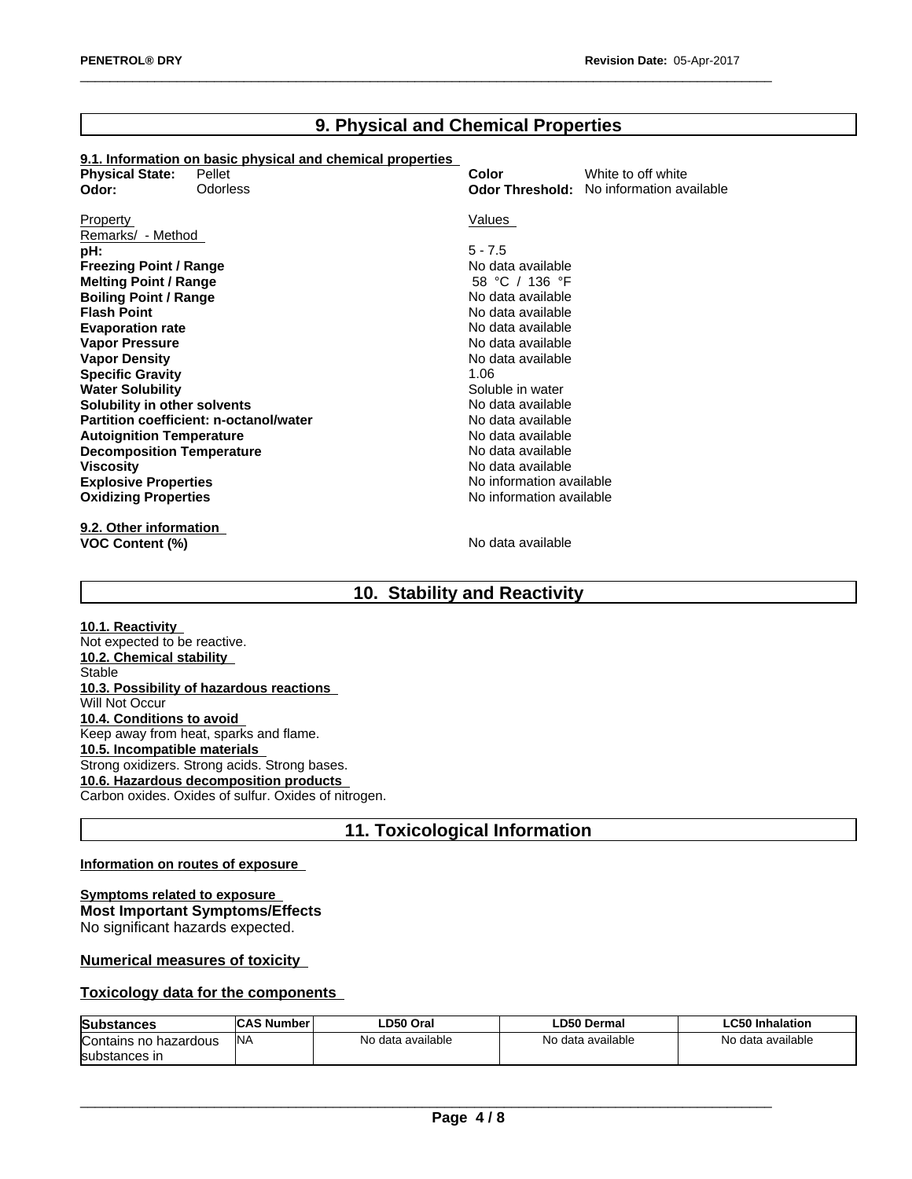# **9. Physical and Chemical Properties**

# **9.1. Information on basic physical and chemical properties**

| <b>Physical State:</b>           | 3.1. INTURNATUR UN DASIG PRIYSIGAI ANU CHENNGAI PROPERTIES<br>Pellet | Color                    | White to off white                              |
|----------------------------------|----------------------------------------------------------------------|--------------------------|-------------------------------------------------|
| Odor:                            | <b>Odorless</b>                                                      |                          | <b>Odor Threshold:</b> No information available |
|                                  |                                                                      |                          |                                                 |
| Property                         |                                                                      | Values                   |                                                 |
| Remarks/ - Method                |                                                                      |                          |                                                 |
| pH:                              |                                                                      | $5 - 7.5$                |                                                 |
| <b>Freezing Point / Range</b>    |                                                                      | No data available        |                                                 |
| <b>Melting Point / Range</b>     |                                                                      | 58 °C / 136 °F           |                                                 |
| <b>Boiling Point / Range</b>     |                                                                      | No data available        |                                                 |
| <b>Flash Point</b>               |                                                                      | No data available        |                                                 |
| <b>Evaporation rate</b>          |                                                                      | No data available        |                                                 |
| <b>Vapor Pressure</b>            |                                                                      | No data available        |                                                 |
| <b>Vapor Density</b>             |                                                                      | No data available        |                                                 |
| <b>Specific Gravity</b>          |                                                                      | 1.06                     |                                                 |
| <b>Water Solubility</b>          |                                                                      | Soluble in water         |                                                 |
| Solubility in other solvents     |                                                                      | No data available        |                                                 |
|                                  | Partition coefficient: n-octanol/water                               | No data available        |                                                 |
| <b>Autoignition Temperature</b>  |                                                                      | No data available        |                                                 |
| <b>Decomposition Temperature</b> |                                                                      | No data available        |                                                 |
| <b>Viscosity</b>                 |                                                                      | No data available        |                                                 |
| <b>Explosive Properties</b>      |                                                                      | No information available |                                                 |
| <b>Oxidizing Properties</b>      |                                                                      | No information available |                                                 |
|                                  |                                                                      |                          |                                                 |

**9.2. Other information VOC Content (%)** No data available

# **10. Stability and Reactivity**

**10.1. Reactivity** Not expected to be reactive. **10.2. Chemical stability** Stable **10.3. Possibility of hazardous reactions** Will Not Occur **10.4. Conditions to avoid** Keep away from heat, sparks and flame. **10.5. Incompatible materials** Strong oxidizers. Strong acids. Strong bases. **10.6. Hazardous decomposition products** Carbon oxides. Oxides of sulfur. Oxides of nitrogen.

# **11. Toxicological Information**

#### **Information on routes of exposure**

**Symptoms related to exposure Most Important Symptoms/Effects** No significant hazards expected.

### **Numerical measures of toxicity**

#### **Toxicology data for the components**

| <b>Subs</b><br>0.08<br>ыаньеэ | <b>AS Number</b> | '.D50 Orai        | <b>_D50 Dermal</b> | C50<br>Inhalation      |
|-------------------------------|------------------|-------------------|--------------------|------------------------|
| Contains no hazardous         | INA              | No data available | No data available  | data available ו<br>No |
| <b>Isubstances</b><br>nces ir |                  |                   |                    |                        |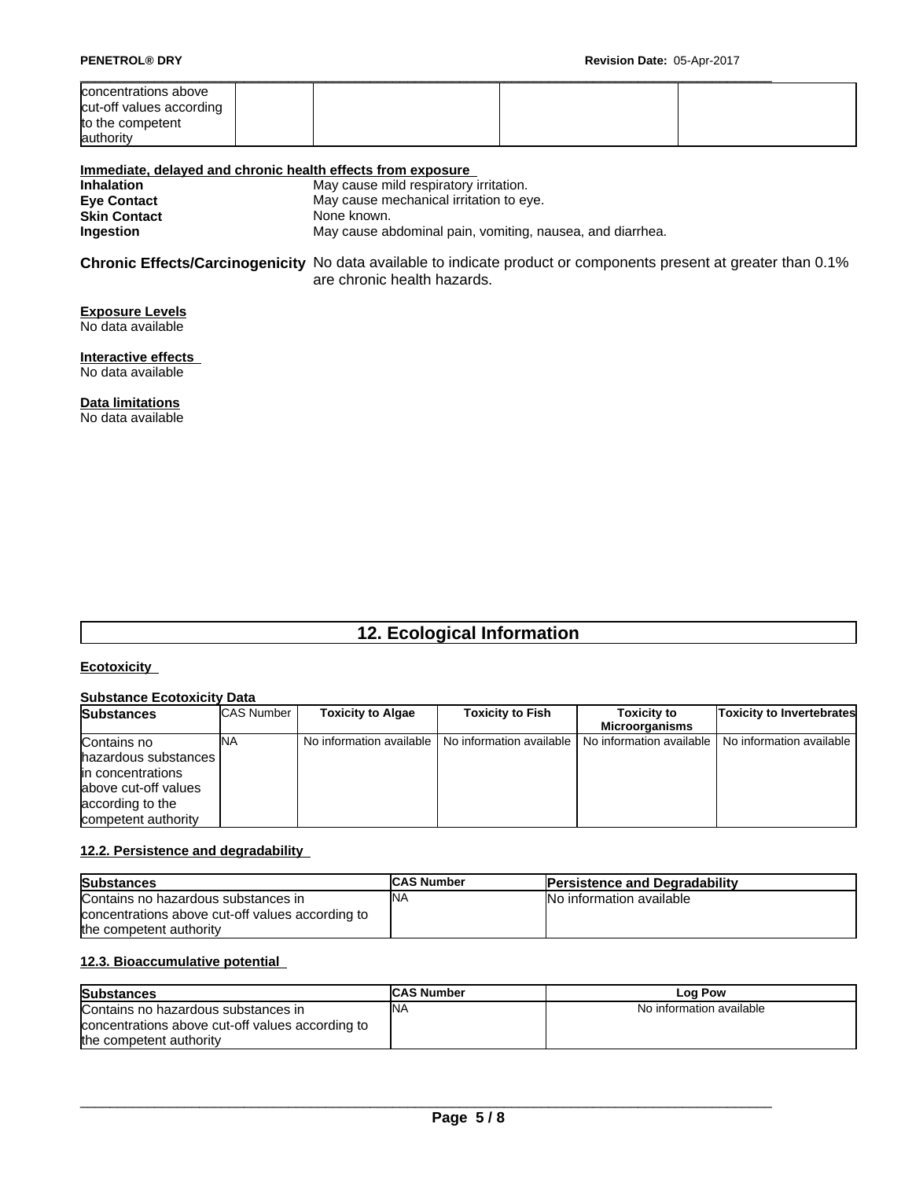| <b>PENETROL® DRY</b>                                                              | Revision Date: 05-Apr-2017 |  |
|-----------------------------------------------------------------------------------|----------------------------|--|
| concentrations above<br>cut-off values according<br>to the competent<br>authority |                            |  |

#### **Immediate, delayed and chronic health effects from exposure**

| May cause mild respiratory irritation.                    |
|-----------------------------------------------------------|
| May cause mechanical irritation to eye.                   |
| None known.                                               |
| May cause abdominal pain, vomiting, nausea, and diarrhea. |
|                                                           |

**Chronic Effects/Carcinogenicity** No data available to indicate product or components present at greater than 0.1% are chronic health hazards.

#### **Exposure Levels** No data available

**Interactive effects** No data available

**Data limitations**

No data available

# **12. Ecological Information**

#### **Ecotoxicity**

#### **Substance Ecotoxicity Data**

| <b>Substances</b>      | <b>CAS Number</b> | <b>Toxicity to Algae</b> | <b>Toxicity to Fish</b>                             | <b>Toxicity to</b> | <b>Toxicity to Invertebrates</b>                    |
|------------------------|-------------------|--------------------------|-----------------------------------------------------|--------------------|-----------------------------------------------------|
|                        |                   |                          |                                                     | Microorganisms     |                                                     |
| Contains no            | ΝA                |                          | No information available   No information available |                    | No information available   No information available |
| hazardous substances I |                   |                          |                                                     |                    |                                                     |
| lin concentrations     |                   |                          |                                                     |                    |                                                     |
| labove cut-off values  |                   |                          |                                                     |                    |                                                     |
| according to the       |                   |                          |                                                     |                    |                                                     |
| competent authority    |                   |                          |                                                     |                    |                                                     |

#### **12.2. Persistence and degradability**

| <b>Substances</b>                                | <b>CAS Number</b> | <b>Persistence and Degradability</b> |
|--------------------------------------------------|-------------------|--------------------------------------|
| Contains no hazardous substances in              | <b>INA</b>        | No information available             |
| concentrations above cut-off values according to |                   |                                      |
| the competent authority                          |                   |                                      |

#### **12.3. Bioaccumulative potential**

| <b>Substances</b>                                | <b>CAS Number</b> | Log Pow                  |
|--------------------------------------------------|-------------------|--------------------------|
| Contains no hazardous substances in              | <b>INA</b>        | No information available |
| concentrations above cut-off values according to |                   |                          |
| the competent authority                          |                   |                          |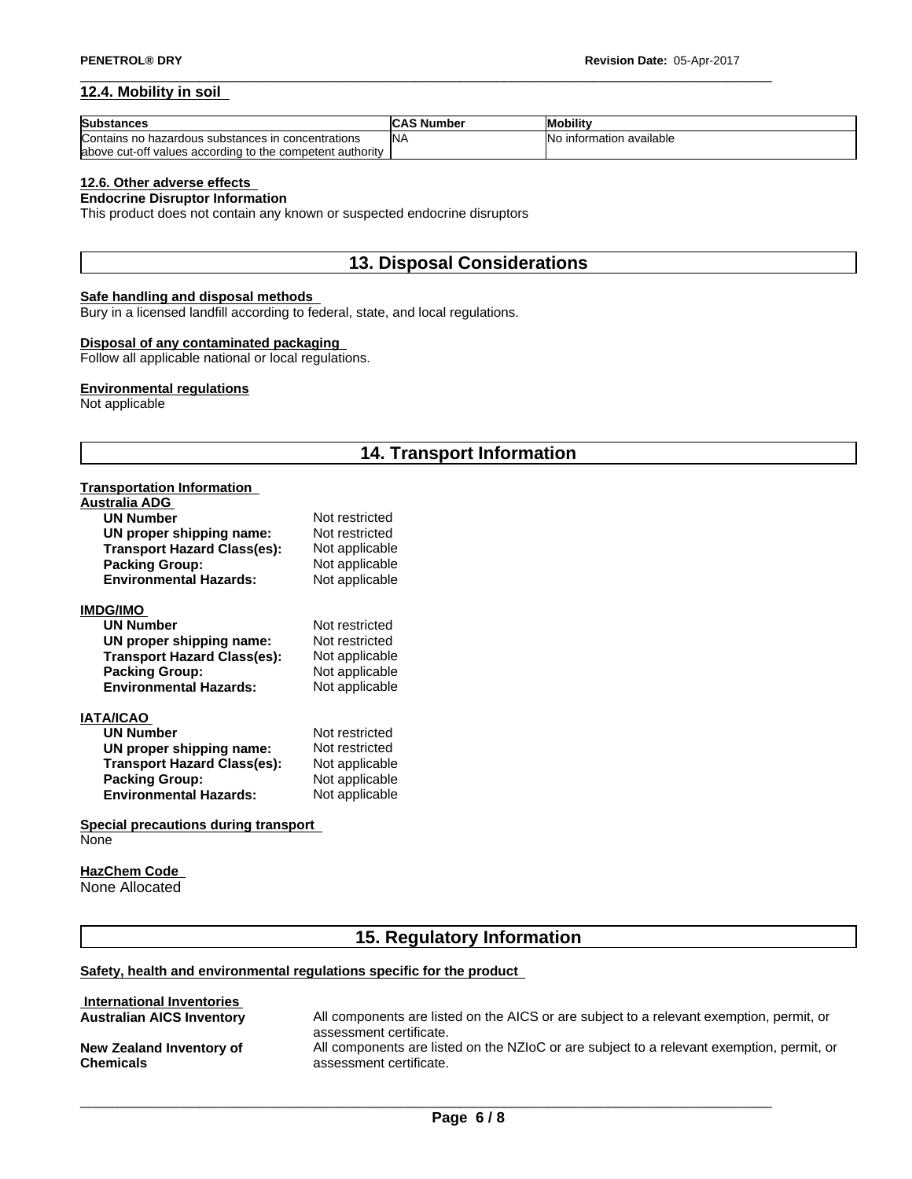#### **12.4. Mobility in soil**

| Substances                                                 | <b>CAS Number</b> | <b>Mobility</b>          |
|------------------------------------------------------------|-------------------|--------------------------|
| Contains no hazardous substances in concentrations         | <b>INA</b>        | No information available |
| labove cut-off values according to the competent authority |                   |                          |

#### **12.6. Other adverse effects**

#### **Endocrine Disruptor Information**

This product does not contain any known or suspected endocrine disruptors

# **13. Disposal Considerations**

#### **Safe handling and disposal methods**

Bury in a licensed landfill according to federal, state, and local regulations.

#### **Disposal of any contaminated packaging**

Follow all applicable national or local regulations.

#### **Environmental regulations**

Not applicable

# **14. Transport Information**

### **Transportation Information**

| Australia ADG                      |                |
|------------------------------------|----------------|
| <b>UN Number</b>                   | Not restricted |
| UN proper shipping name:           | Not restricted |
| <b>Transport Hazard Class(es):</b> | Not applicable |
| <b>Packing Group:</b>              | Not applicable |
| <b>Environmental Hazards:</b>      | Not applicable |
| IMDG/IMO                           |                |
| <b>UN Number</b>                   | Not restricted |
| UN proper shipping name:           | Not restricted |
| <b>Transport Hazard Class(es):</b> | Not applicable |
| <b>Packing Group:</b>              | Not applicable |
| <b>Environmental Hazards:</b>      | Not applicable |
| IATA/ICAO                          |                |
| <b>UN Number</b>                   | Not restricted |
| UN proper shipping name:           | Not restricted |
| <b>Transport Hazard Class(es):</b> | Not applicable |
| <b>Packing Group:</b>              | Not applicable |
| <b>Environmental Hazards:</b>      | Not applicable |
|                                    |                |
|                                    |                |

#### **Special precautions during transport** None

#### **HazChem Code**  None Allocated

# **15. Regulatory Information**

#### **Safety, health and environmental regulations specific for the product**

| International Inventories             |                                                                                                                      |
|---------------------------------------|----------------------------------------------------------------------------------------------------------------------|
| <b>Australian AICS Inventory</b>      | All components are listed on the AICS or are subject to a relevant exemption, permit, or<br>assessment certificate.  |
| New Zealand Inventory of<br>Chemicals | All components are listed on the NZIoC or are subject to a relevant exemption, permit, or<br>assessment certificate. |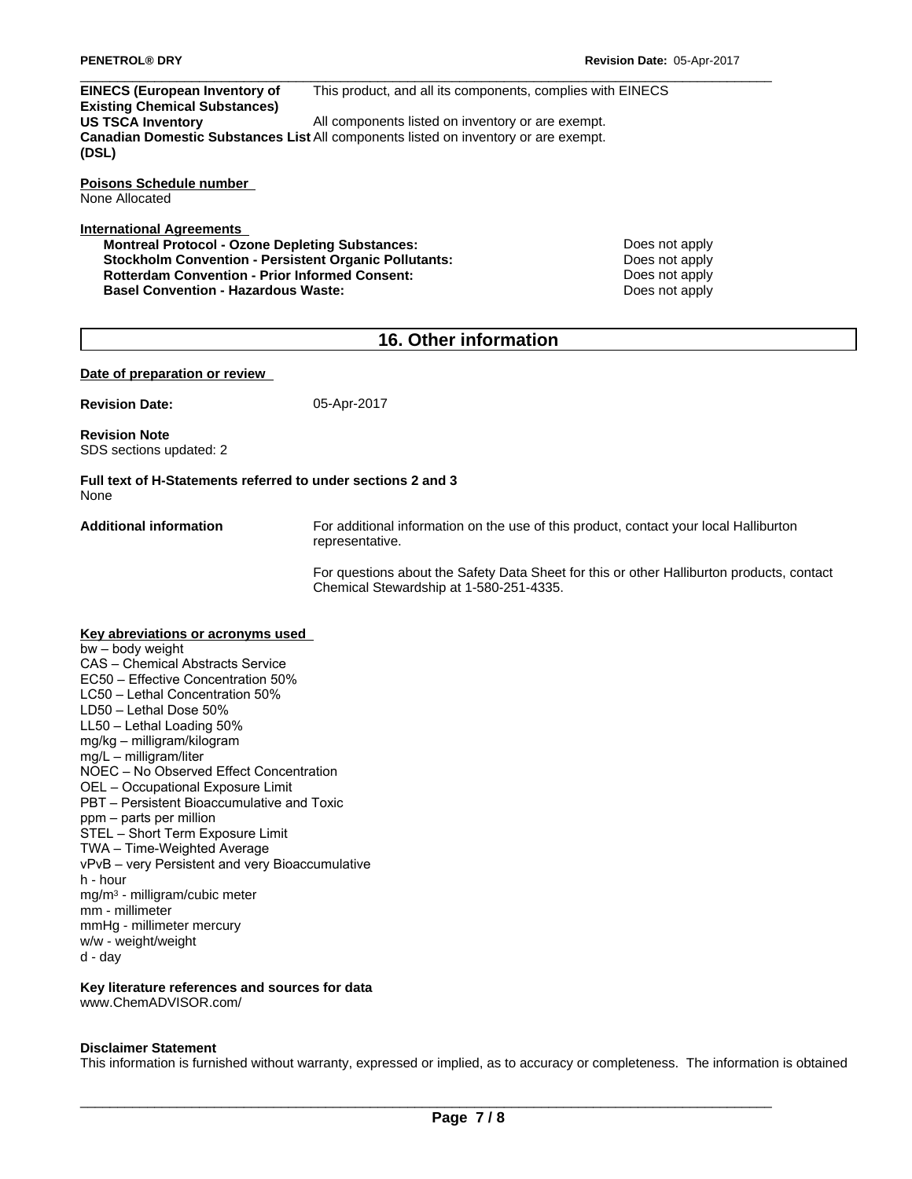**EINECS (European Inventory of Existing Chemical Substances)** This product, and all its components, complies with EINECS **US TSCA Inventory All components listed on inventory or are exempt. Canadian Domestic Substances List** All components listed on inventory or are exempt. **(DSL)**

**Poisons Schedule number** None Allocated

#### **International Agreements**

**Montreal Protocol - Ozone Depleting Substances:** Does not apply **Stockholm Convention - Persistent Organic Pollutants:** Does not apply **Rotterdam Convention - Prior Informed Consent: Consenting the Consenting Consenting Conservation Designed Conservation Basel Convention - Hazardous Waste:** Does not apply **Does not apply** 

# **16. Other information**

#### **Date of preparation or review**

**Revision Date:** 05-Apr-2017

**Revision Note** SDS sections updated: 2

**Full text of H-Statements referred to undersections 2 and 3** None

**Additional information** For additional information on the use of this product, contact your local Halliburton representative.

> For questions about the Safety Data Sheet for this or other Halliburton products, contact Chemical Stewardship at 1-580-251-4335.

#### **Key abreviations or acronyms used** bw–bodyweight CAS - Chemical Abstracts Service EC50 – Effective Concentration 50% LC50 - Lethal Concentration 50% LD50 - Lethal Dose 50%  $LL50$  – Lethal Loading  $50\%$ mg/kg–milligram/kilogram mg/L–milligram/liter NOEC - No Observed Effect Concentration OEL - Occupational Exposure Limit PBT – Persistent Bioaccumulative and Toxic ppm – parts per million STEL - Short Term Exposure Limit TWA - Time-Weighted Average vPvB - very Persistent and very Bioaccumulative h - hour mg/m<sup>3</sup> - milligram/cubic meter mm - millimeter mmHg - millimeter mercury w/w - weight/weight

d - day

#### **Key literature references and sources for data** www.ChemADVISOR.com/

#### **Disclaimer Statement**

This information is furnished without warranty, expressed or implied, as to accuracy or completeness. The information is obtained